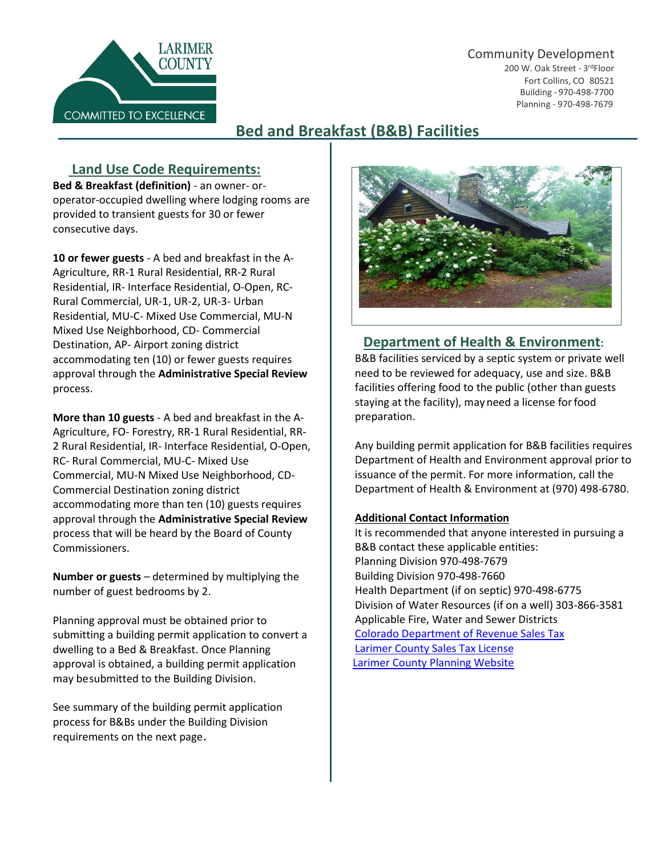#### Community Development





# **Bed and Breakfast (B&B) Facilities**

## **Land Use Code Requirements:**

**Bed & Breakfast (definition)** - an owner- oroperator-occupied dwelling where lodging rooms are provided to transient guests for 30 or fewer consecutive days.

**10 or fewer guests** - A bed and breakfast in the A-Agriculture, RR-1 Rural Residential, RR-2 Rural Residential, IR- Interface Residential, O-Open, RC-Rural Commercial, UR-1, UR-2, UR-3- Urban Residential, MU-C- Mixed Use Commercial, MU-N Mixed Use Neighborhood, CD- Commercial Destination, AP- Airport zoning district accommodating ten (10) or fewer guests requires approval through the **Administrative Special Review** process.

**More than 10 guests** - A bed and breakfast in the A-Agriculture, FO- Forestry, RR-1 Rural Residential, RR-2 Rural Residential, IR- Interface Residential, O-Open, RC- Rural Commercial, MU-C- Mixed Use Commercial, MU-N Mixed Use Neighborhood, CD-Commercial Destination zoning district accommodating more than ten (10) guests requires approval through the **Administrative Special Review** process that will be heard by the Board of County Commissioners.

**Number or guests** – determined by multiplying the number of guest bedrooms by 2.

Planning approval must be obtained prior to submitting a building permit application to convert a dwelling to a Bed & Breakfast. Once Planning approval is obtained, a building permit application may besubmitted to the Building Division.

See summary of the building permit application process for B&Bs under the Building Division requirements on the next page.



### **Department of Health & Environment:**

B&B facilities serviced by a septic system or private well need to be reviewed for adequacy, use and size. B&B facilities offering food to the public (other than guests staying at the facility), may need a license forfood preparation.

Any building permit application for B&B facilities requires Department of Health and Environment approval prior to issuance of the permit. For more information, call the Department of Health & Environment at (970) 498-6780.

#### **Additional Contact Information**

It is recommended that anyone interested in pursuing a B&B contact these applicable entities: Planning Division 970-498-7679 Building Division 970-498-7660 Health Department (if on septic) 970-498-6775 Division of Water Resources (if on a well) 303-866-3581 Applicable Fire, Water and Sewer Districts [Colorado Department of Revenue Sales Tax](https://www.colorado.gov/pacific/tax/sales-tax-account-license) [Larimer County Sales Tax License](https://www.larimer.org/finance/sales-tax/info) [Larimer County Planning Website](https://www.larimer.org/planning/bed-breakfast)